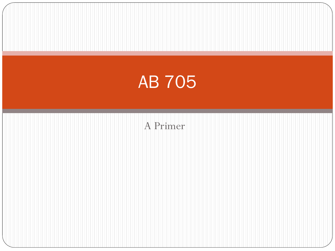

A Primer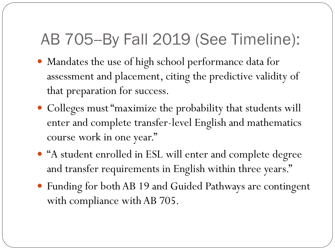#### AB 705--By Fall 2019 (See Timeline):

- Mandates the use of high school performance data for assessment and placement, citing the predictive validity of that preparation for success.
- Colleges must "maximize the probability that students will enter and complete transfer-level English and mathematics course work in one year."
- "A student enrolled in ESL will enter and complete degree and transfer requirements in English within three years."
- Funding for both AB 19 and Guided Pathways are contingent with compliance with AB 705.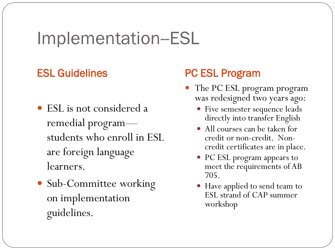#### Implementation--ESL

- ESL is not considered a remedial program students who enroll in ESL are foreign language learners.
- Sub-Committee working on implementation guidelines.

#### ESL Guidelines **PC ESL Program**

- The PC ESL program program was redesigned two years ago:
	- Five semester sequence leads directly into transfer English
	- All courses can be taken for credit or non-credit. Noncredit certificates are in place.
	- PC ESL program appears to meet the requirements of AB 705.
	- Have applied to send team to ESL strand of CAP summer workshop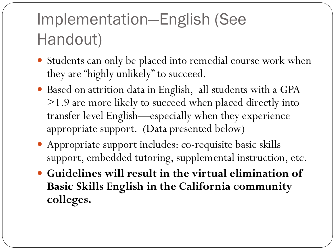#### Implementation—English (See Handout)

- Students can only be placed into remedial course work when they are "highly unlikely" to succeed.
- Based on attrition data in English, all students with a GPA >1.9 are more likely to succeed when placed directly into transfer level English—especially when they experience appropriate support. (Data presented below)
- Appropriate support includes: co-requisite basic skills support, embedded tutoring, supplemental instruction, etc.
- **Guidelines will result in the virtual elimination of Basic Skills English in the California community colleges.**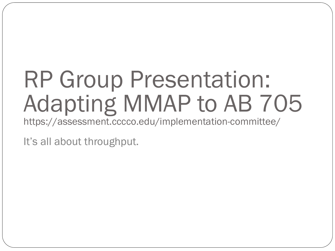# RP Group Presentation: Adapting MMAP to AB 705

https://assessment.cccco.edu/implementation-committee/

It's all about throughput.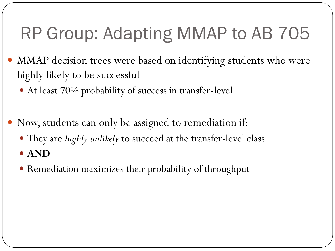## RP Group: Adapting MMAP to AB 705

- MMAP decision trees were based on identifying students who were highly likely to be successful
	- At least 70% probability of success in transfer-level
- Now, students can only be assigned to remediation if:
	- They are *highly unlikely* to succeed at the transfer-level class
	- **AND**
	- Remediation maximizes their probability of throughput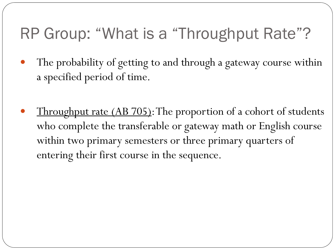#### RP Group: "What is a "Throughput Rate"?

- The probability of getting to and through a gateway course within a specified period of time.
- Throughput rate (AB 705): The proportion of a cohort of students who complete the transferable or gateway math or English course within two primary semesters or three primary quarters of entering their first course in the sequence.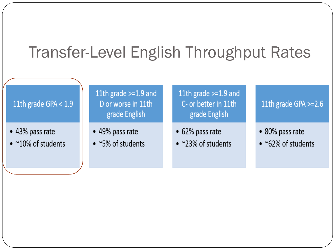#### Transfer-Level English Throughput Rates

#### 11th grade GPA < 1.9

- 43% pass rate
- $\bullet$  ~10% of students

11th grade >=1.9 and D or worse in 11th grade English

- 49% pass rate
- $\bullet$  ~5% of students

11th grade  $>=1.9$  and C- or better in 11th grade English

- 62% pass rate
- ~23% of students

#### 11th grade GPA >=2.6

- 80% pass rate
- $\bullet$  ~62% of students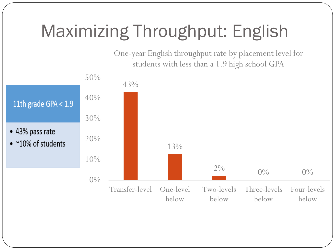## Maximizing Throughput: English

One-year English throughput rate by placement level for students with less than a 1.9 high school GPA

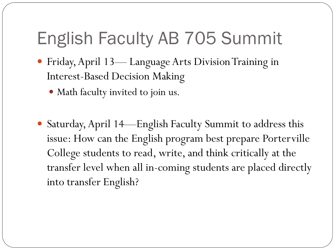### English Faculty AB 705 Summit

- Friday, April 13— Language Arts Division Training in Interest-Based Decision Making
	- Math faculty invited to join us.
- Saturday, April 14—English Faculty Summit to address this issue: How can the English program best prepare Porterville College students to read, write, and think critically at the transfer level when all in-coming students are placed directly into transfer English?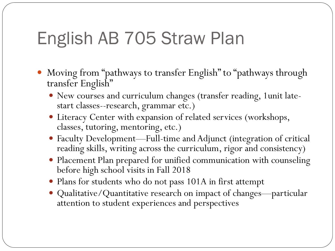### English AB 705 Straw Plan

- Moving from "pathways to transfer English" to "pathways through transfer English"
	- New courses and curriculum changes (transfer reading, 1unit latestart classes--research, grammar etc.)
	- Literacy Center with expansion of related services (workshops, classes, tutoring, mentoring, etc.)
	- Faculty Development—Full-time and Adjunct (integration of critical reading skills, writing across the curriculum, rigor and consistency)
	- Placement Plan prepared for unified communication with counseling before high school visits in Fall 2018
	- Plans for students who do not pass 101A in first attempt
	- Qualitative/Quantitative research on impact of changes—particular attention to student experiences and perspectives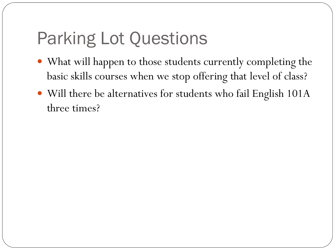## Parking Lot Questions

- What will happen to those students currently completing the basic skills courses when we stop offering that level of class?
- Will there be alternatives for students who fail English 101A three times?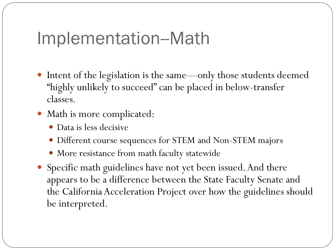#### Implementation--Math

- Intent of the legislation is the same—only those students deemed "highly unlikely to succeed" can be placed in below-transfer classes.
- Math is more complicated:
	- Data is less decisive
	- Different course sequences for STEM and Non-STEM majors
	- More resistance from math faculty statewide
- Specific math guidelines have not yet been issued. And there appears to be a difference between the State Faculty Senate and the California Acceleration Project over how the guidelines should be interpreted.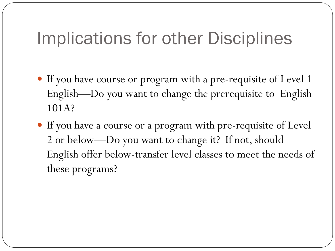#### Implications for other Disciplines

- If you have course or program with a pre-requisite of Level 1 English—Do you want to change the prerequisite to English 101A?
- If you have a course or a program with pre-requisite of Level 2 or below—Do you want to change it? If not, should English offer below-transfer level classes to meet the needs of these programs?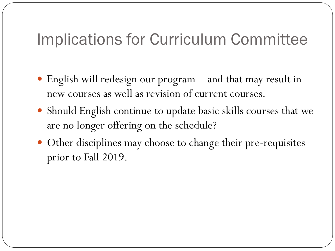#### Implications for Curriculum Committee

- English will redesign our program—and that may result in new courses as well as revision of current courses.
- Should English continue to update basic skills courses that we are no longer offering on the schedule?
- Other disciplines may choose to change their pre-requisites prior to Fall 2019.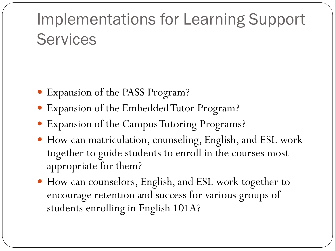#### Implementations for Learning Support **Services**

- Expansion of the PASS Program?
- Expansion of the Embedded Tutor Program?
- Expansion of the Campus Tutoring Programs?
- How can matriculation, counseling, English, and ESL work together to guide students to enroll in the courses most appropriate for them?
- How can counselors, English, and ESL work together to encourage retention and success for various groups of students enrolling in English 101A?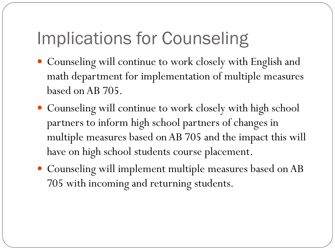### Implications for Counseling

- Counseling will continue to work closely with English and math department for implementation of multiple measures based on AB 705.
- Counseling will continue to work closely with high school partners to inform high school partners of changes in multiple measures based on AB 705 and the impact this will have on high school students course placement.
- Counseling will implement multiple measures based on AB 705 with incoming and returning students.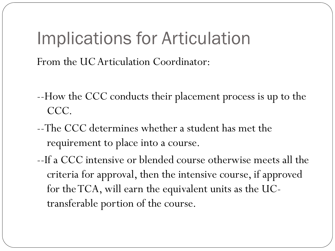#### Implications for Articulation

From the UC Articulation Coordinator:

- --How the CCC conducts their placement process is up to the CCC.
- --The CCC determines whether a student has met the requirement to place into a course.
- --If a CCC intensive or blended course otherwise meets all the criteria for approval, then the intensive course, if approved for the TCA, will earn the equivalent units as the UCtransferable portion of the course.